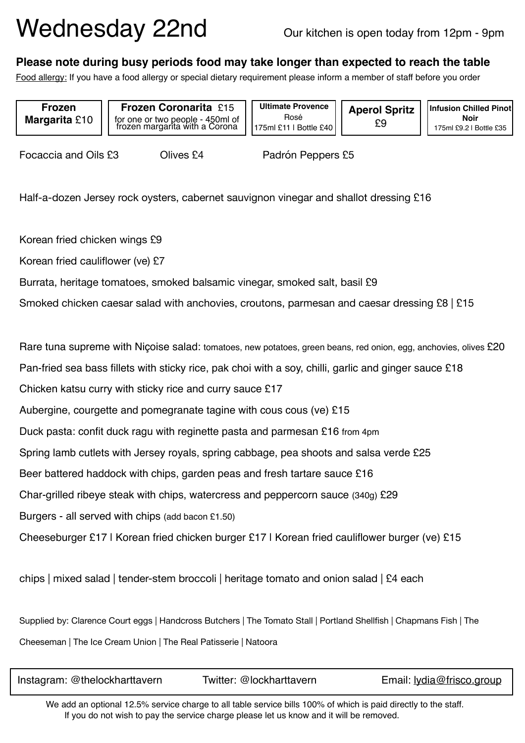## Wednesday 22nd Our kitchen is open today from 12pm - 9pm

## **Please note during busy periods food may take longer than expected to reach the table**

Food allergy: If you have a food allergy or special dietary requirement please inform a member of staff before you order

**Frozen Margarita** £10

**Frozen Coronarita** £15 for one or two people - 450ml of frozen margarita with a Corona

**Ultimate Provence**  Rosé 175ml £11 | Bottle £40

**Aperol Spritz**  £9

**Infusion Chilled Pinot Noir**  175ml £9.2 | Bottle £35

Focaccia and Oils £3 Olives £4 Padrón Peppers £5

Half-a-dozen Jersey rock oysters, cabernet sauvignon vinegar and shallot dressing £16

Korean fried chicken wings £9

Korean fried cauliflower (ve) £7

Burrata, heritage tomatoes, smoked balsamic vinegar, smoked salt, basil £9

Smoked chicken caesar salad with anchovies, croutons, parmesan and caesar dressing £8 | £15

Rare tuna supreme with Niçoise salad: tomatoes, new potatoes, green beans, red onion, egg, anchovies, olives £20 Pan-fried sea bass fillets with sticky rice, pak choi with a soy, chilli, garlic and ginger sauce £18

Chicken katsu curry with sticky rice and curry sauce £17

Aubergine, courgette and pomegranate tagine with cous cous (ve) £15

Duck pasta: confit duck ragu with reginette pasta and parmesan £16 from 4pm

Spring lamb cutlets with Jersey royals, spring cabbage, pea shoots and salsa verde £25

Beer battered haddock with chips, garden peas and fresh tartare sauce £16

Char-grilled ribeye steak with chips, watercress and peppercorn sauce (340g) £29

Burgers - all served with chips (add bacon £1.50)

Cheeseburger £17 | Korean fried chicken burger £17 | Korean fried cauliflower burger (ve) £15

chips | mixed salad | tender-stem broccoli | heritage tomato and onion salad | £4 each

Supplied by: Clarence Court eggs | Handcross Butchers | The Tomato Stall | Portland Shellfish | Chapmans Fish | The Cheeseman | The Ice Cream Union | The Real Patisserie | Natoora

| Instagram: @thelockharttavern | Twitter: @lockharttavern | Email: lydia@frisco.group |
|-------------------------------|--------------------------|---------------------------|
|-------------------------------|--------------------------|---------------------------|

We add an optional 12.5% service charge to all table service bills 100% of which is paid directly to the staff. If you do not wish to pay the service charge please let us know and it will be removed.